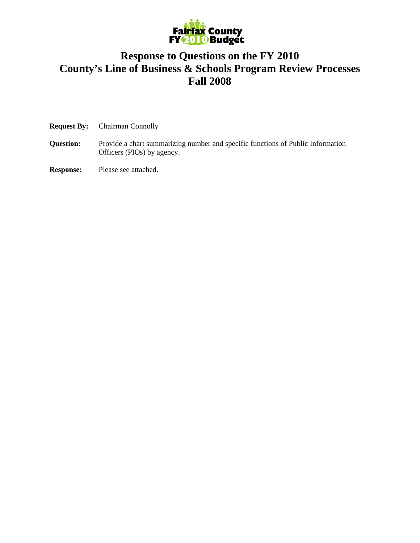

## **Response to Questions on the FY 2010 County's Line of Business & Schools Program Review Processes Fall 2008**

| <b>Request By:</b><br><b>Chairman Connolly</b> |
|------------------------------------------------|
|------------------------------------------------|

- **Question:** Provide a chart summarizing number and specific functions of Public Information Officers (PIOs) by agency.
- **Response:** Please see attached.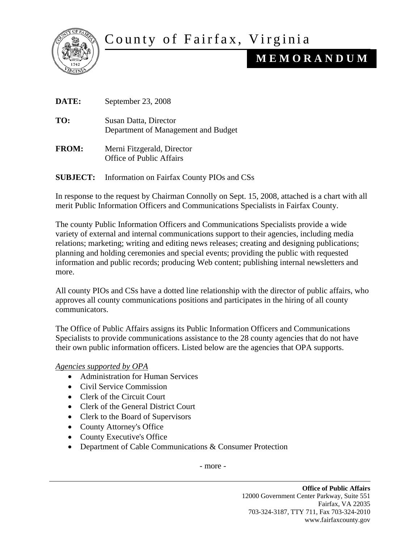

## County of Fairfax, Virginia

## **M E M O R A N D U M**

| DATE:           | September 23, 2008                                            |
|-----------------|---------------------------------------------------------------|
| TO:             | Susan Datta, Director<br>Department of Management and Budget  |
| <b>FROM:</b>    | Merni Fitzgerald, Director<br><b>Office of Public Affairs</b> |
| <b>SUBJECT:</b> | Information on Fairfax County PIOs and CSs                    |

In response to the request by Chairman Connolly on Sept. 15, 2008, attached is a chart with all merit Public Information Officers and Communications Specialists in Fairfax County.

The county Public Information Officers and Communications Specialists provide a wide variety of external and internal communications support to their agencies, including media relations; marketing; writing and editing news releases; creating and designing publications; planning and holding ceremonies and special events; providing the public with requested information and public records; producing Web content; publishing internal newsletters and more.

All county PIOs and CSs have a dotted line relationship with the director of public affairs, who approves all county communications positions and participates in the hiring of all county communicators.

The Office of Public Affairs assigns its Public Information Officers and Communications Specialists to provide communications assistance to the 28 county agencies that do not have their own public information officers. Listed below are the agencies that OPA supports.

*Agencies supported by OPA*

- Administration for Human Services
- Civil Service Commission
- Clerk of the Circuit Court
- Clerk of the General District Court
- Clerk to the Board of Supervisors
- County Attorney's Office
- County Executive's Office
- Department of Cable Communications & Consumer Protection

- more -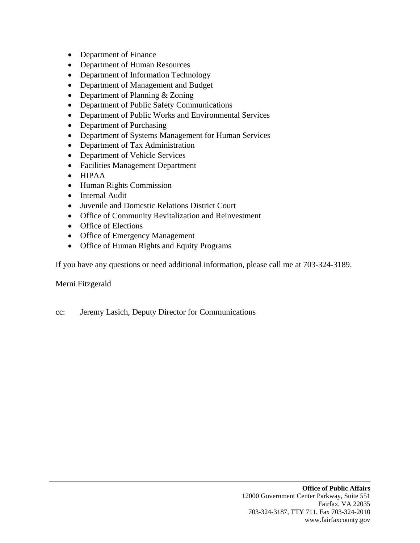- Department of Finance
- Department of Human Resources
- Department of Information Technology
- Department of Management and Budget
- Department of Planning & Zoning
- Department of Public Safety Communications
- Department of Public Works and Environmental Services
- Department of Purchasing
- Department of Systems Management for Human Services
- Department of Tax Administration
- Department of Vehicle Services
- Facilities Management Department
- HIPAA
- Human Rights Commission
- Internal Audit
- Juvenile and Domestic Relations District Court
- Office of Community Revitalization and Reinvestment
- Office of Elections
- Office of Emergency Management
- Office of Human Rights and Equity Programs

If you have any questions or need additional information, please call me at 703-324-3189.

Merni Fitzgerald

cc: Jeremy Lasich, Deputy Director for Communications